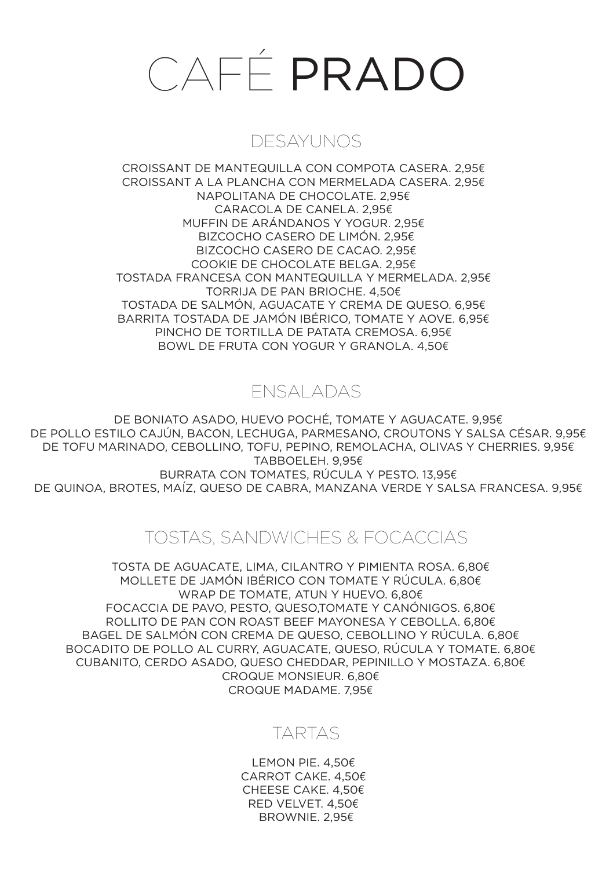# CAFÉ PRADO

### DESAYUNOS

CROISSANT DE MANTEQUILLA CON COMPOTA CASERA. 2,95€ CROISSANT A LA PLANCHA CON MERMELADA CASERA. 2,95€ NAPOLITANA DE CHOCOLATE. 2,95€ CARACOLA DE CANELA. 2,95€ MUFFIN DE ARÁNDANOS Y YOGUR. 2,95€ BIZCOCHO CASERO DE LIMÓN. 2,95€ BIZCOCHO CASERO DE CACAO. 2,95€ COOKIE DE CHOCOLATE BELGA. 2,95€ TOSTADA FRANCESA CON MANTEQUILLA Y MERMELADA. 2,95€ TORRIJA DE PAN BRIOCHE. 4,50€ TOSTADA DE SALMÓN, AGUACATE Y CREMA DE QUESO. 6,95€ BARRITA TOSTADA DE JAMÓN IBÉRICO, TOMATE Y AOVE. 6,95€ PINCHO DE TORTILLA DE PATATA CREMOSA. 6,95€ BOWL DE FRUTA CON YOGUR Y GRANOLA. 4,50€

## ENSALADAS

DE BONIATO ASADO, HUEVO POCHÉ, TOMATE Y AGUACATE. 9,95€ DE POLLO ESTILO CAJÚN, BACON, LECHUGA, PARMESANO, CROUTONS Y SALSA CÉSAR. 9,95€ DE TOFU MARINADO, CEBOLLINO, TOFU, PEPINO, REMOLACHA, OLIVAS Y CHERRIES. 9,95€ TABBOELEH. 9,95€ BURRATA CON TOMATES, RÚCULA Y PESTO. 13,95€ DE QUINOA, BROTES, MAÍZ, QUESO DE CABRA, MANZANA VERDE Y SALSA FRANCESA. 9,95€

### TOSTAS, SANDWICHES & FOCACCIAS

TOSTA DE AGUACATE, LIMA, CILANTRO Y PIMIENTA ROSA, 6,80€ MOLLETE DE JAMÓN IBÉRICO CON TOMATE Y RÚCULA. 6,80€ WRAP DE TOMATE, ATUN Y HUEVO, 6,80€ FOCACCIA DE PAVO, PESTO, QUESO,TOMATE Y CANÓNIGOS, 6,80€ ROLLITO DE PAN CON ROAST BEEF MAYONESA Y CEBOLLA. 6,80€ BAGEL DE SALMÓN CON CREMA DE QUESO, CEBOLLINO Y RÚCULA. 6,80€ BOCADITO DE POLLO AL CURRY, AGUACATE, QUESO, RÚCULA Y TOMATE, 6,80€ CUBANITO, CERDO ASADO, QUESO CHEDDAR, PEPINILLO Y MOSTAZA. 6,80€€€ CROQUE MONSIEUR,  $6.80E$ CROQUE MADAME. 7,95€

### TARTAS

LEMON PIE. 4,50€ CARROT CAKE. 4,50€ CHEESE CAKE. 4,50€ RED VELVET. 4,50€ BROWNIE. 2,95€